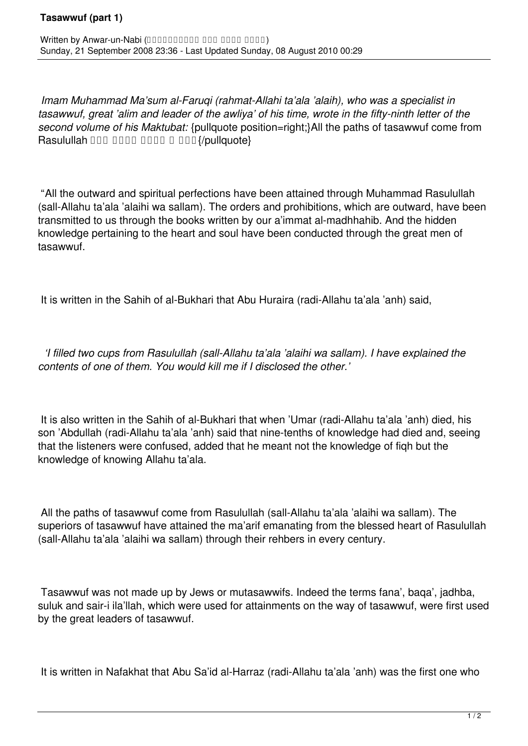## **Tasawwuf (part 1)**

*Imam Muhammad Ma'sum al-Faruqi (rahmat-Allahi ta'ala 'alaih), who was a specialist in tasawwuf, great 'alim and leader of the awliya' of his time, wrote in the fifty-ninth letter of the second volume of his Maktubat:* {pullquote position=right;}All the paths of tasawwuf come from Rasulullah DDD DDDD DDDD DDD {/pullquote}

"All the outward and spiritual perfections have been attained through Muhammad Rasulullah (sall-Allahu ta'ala 'alaihi wa sallam). The orders and prohibitions, which are outward, have been transmitted to us through the books written by our a'immat al-madhhahib. And the hidden knowledge pertaining to the heart and soul have been conducted through the great men of tasawwuf.

It is written in the Sahih of al-Bukhari that Abu Huraira (radi-Allahu ta'ala 'anh) said,

 *'I filled two cups from Rasulullah (sall-Allahu ta'ala 'alaihi wa sallam). I have explained the contents of one of them. You would kill me if I disclosed the other.'*

It is also written in the Sahih of al-Bukhari that when 'Umar (radi-Allahu ta'ala 'anh) died, his son 'Abdullah (radi-Allahu ta'ala 'anh) said that nine-tenths of knowledge had died and, seeing that the listeners were confused, added that he meant not the knowledge of fiqh but the knowledge of knowing Allahu ta'ala.

All the paths of tasawwuf come from Rasulullah (sall-Allahu ta'ala 'alaihi wa sallam). The superiors of tasawwuf have attained the ma'arif emanating from the blessed heart of Rasulullah (sall-Allahu ta'ala 'alaihi wa sallam) through their rehbers in every century.

Tasawwuf was not made up by Jews or mutasawwifs. Indeed the terms fana', baqa', jadhba, suluk and sair-i ila'llah, which were used for attainments on the way of tasawwuf, were first used by the great leaders of tasawwuf.

It is written in Nafakhat that Abu Sa'id al-Harraz (radi-Allahu ta'ala 'anh) was the first one who